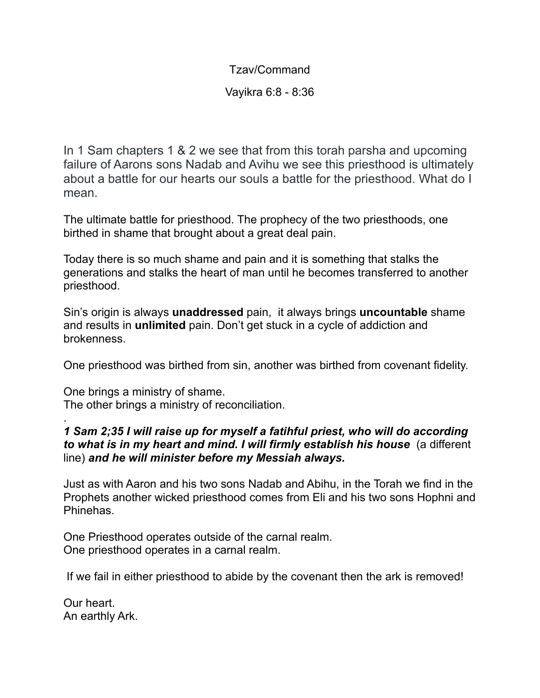Tzav/Command

Vayikra 6:8 - 8:36

In 1 Sam chapters 1 & 2 we see that from this torah parsha and upcoming failure of Aarons sons Nadab and Avihu we see this priesthood is ultimately about a battle for our hearts our souls a battle for the priesthood. What do I mean.

The ultimate battle for priesthood. The prophecy of the two priesthoods, one birthed in shame that brought about a great deal pain.

Today there is so much shame and pain and it is something that stalks the generations and stalks the heart of man until he becomes transferred to another priesthood.

Sin's origin is always **unaddressed** pain, it always brings **uncountable** shame and results in **unlimited** pain. Don't get stuck in a cycle of addiction and brokenness.

One priesthood was birthed from sin, another was birthed from covenant fidelity.

One brings a ministry of shame. The other brings a ministry of reconciliation.

## . *1 Sam 2;35 I will raise up for myself a fatihful priest, who will do according to what is in my heart and mind. I will firmly establish his house* (a different line) *and he will minister before my Messiah always.*

Just as with Aaron and his two sons Nadab and Abihu, in the Torah we find in the Prophets another wicked priesthood comes from Eli and his two sons Hophni and Phinehas.

One Priesthood operates outside of the carnal realm. One priesthood operates in a carnal realm.

If we fail in either priesthood to abide by the covenant then the ark is removed!

Our heart. An earthly Ark.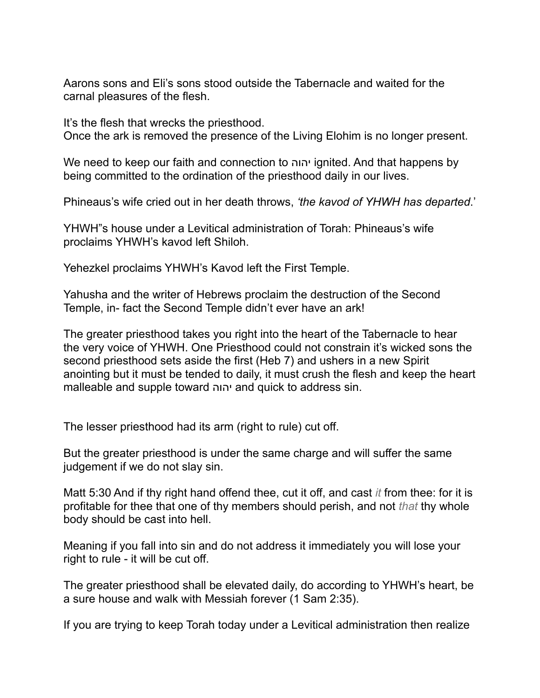Aarons sons and Eli's sons stood outside the Tabernacle and waited for the carnal pleasures of the flesh.

It's the flesh that wrecks the priesthood. Once the ark is removed the presence of the Living Elohim is no longer present.

We need to keep our faith and connection to יהוה ignited. And that happens by being committed to the ordination of the priesthood daily in our lives.

Phineaus's wife cried out in her death throws, *'the kavod of YHWH has departed*.'

YHWH"s house under a Levitical administration of Torah: Phineaus's wife proclaims YHWH's kavod left Shiloh.

Yehezkel proclaims YHWH's Kavod left the First Temple.

Yahusha and the writer of Hebrews proclaim the destruction of the Second Temple, in- fact the Second Temple didn't ever have an ark!

The greater priesthood takes you right into the heart of the Tabernacle to hear the very voice of YHWH. One Priesthood could not constrain it's wicked sons the second priesthood sets aside the first (Heb 7) and ushers in a new Spirit anointing but it must be tended to daily, it must crush the flesh and keep the heart malleable and supple toward יהוה and quick to address sin.

The lesser priesthood had its arm (right to rule) cut off.

But the greater priesthood is under the same charge and will suffer the same judgement if we do not slay sin.

Matt 5:30 And if thy right hand offend thee, cut it off, and cast *it* from thee: for it is profitable for thee that one of thy members should perish, and not *that* thy whole body should be cast into hell.

Meaning if you fall into sin and do not address it immediately you will lose your right to rule - it will be cut off.

The greater priesthood shall be elevated daily, do according to YHWH's heart, be a sure house and walk with Messiah forever (1 Sam 2:35).

If you are trying to keep Torah today under a Levitical administration then realize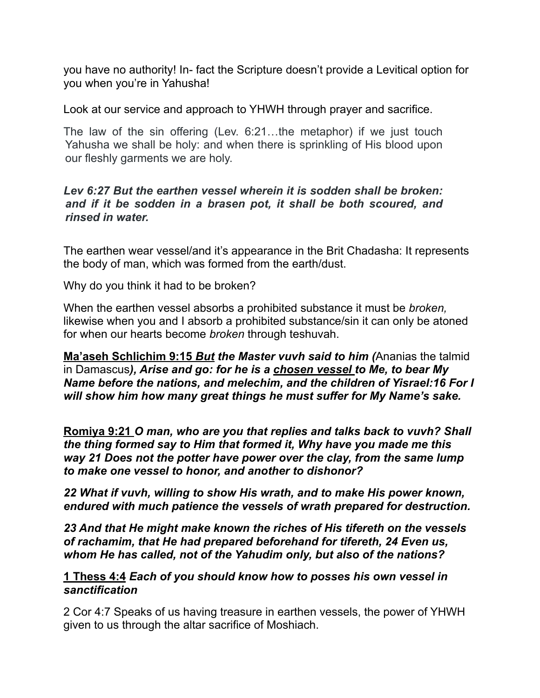you have no authority! In- fact the Scripture doesn't provide a Levitical option for you when you're in Yahusha!

Look at our service and approach to YHWH through prayer and sacrifice.

The law of the sin offering (Lev. 6:21…the metaphor) if we just touch Yahusha we shall be holy: and when there is sprinkling of His blood upon our fleshly garments we are holy.

## *Lev 6:27 But the earthen vessel wherein it is sodden shall be broken: and if it be sodden in a brasen pot, it shall be both scoured, and rinsed in water.*

The earthen wear vessel/and it's appearance in the Brit Chadasha: It represents the body of man, which was formed from the earth/dust.

Why do you think it had to be broken?

When the earthen vessel absorbs a prohibited substance it must be *broken,* likewise when you and I absorb a prohibited substance/sin it can only be atoned for when our hearts become *broken* through teshuvah.

**Ma'aseh Schlichim 9:15** *But the Master vuvh said to him (*Ananias the talmid in Damascus*), Arise and go: for he is a chosen vessel to Me, to bear My Name before the nations, and melechim, and the children of Yisrael:16 For I will show him how many great things he must suffer for My Name's sake.*

**Romiya 9:21** *O man, who are you that replies and talks back to vuvh? Shall the thing formed say to Him that formed it, Why have you made me this way 21 Does not the potter have power over the clay, from the same lump to make one vessel to honor, and another to dishonor?*

*22 What if vuvh, willing to show His wrath, and to make His power known, endured with much patience the vessels of wrath prepared for destruction.*

*23 And that He might make known the riches of His tifereth on the vessels of rachamim, that He had prepared beforehand for tifereth, 24 Even us, whom He has called, not of the Yahudim only, but also of the nations?*

## **1 Thess 4:4** *Each of you should know how to posses his own vessel in sanctification*

2 Cor 4:7 Speaks of us having treasure in earthen vessels, the power of YHWH given to us through the altar sacrifice of Moshiach.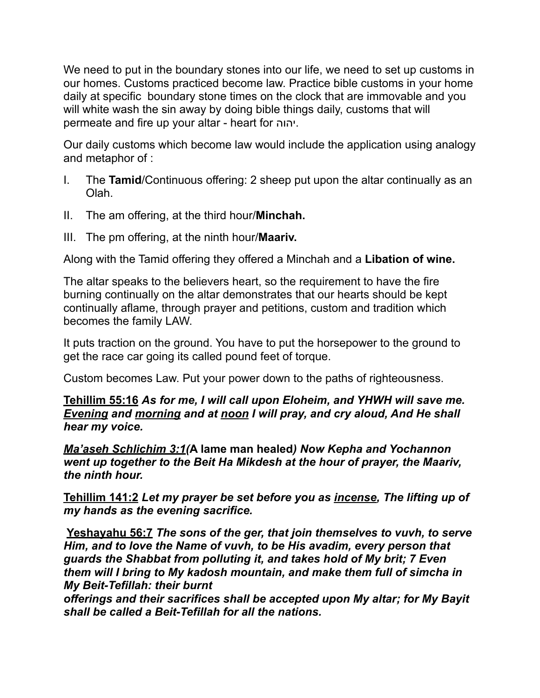We need to put in the boundary stones into our life, we need to set up customs in our homes. Customs practiced become law. Practice bible customs in your home daily at specific boundary stone times on the clock that are immovable and you will white wash the sin away by doing bible things daily, customs that will permeate and fire up your altar - heart for יהוה.

Our daily customs which become law would include the application using analogy and metaphor of :

- I. The **Tamid**/Continuous offering: 2 sheep put upon the altar continually as an Olah.
- II. The am offering, at the third hour/**Minchah.**
- III. The pm offering, at the ninth hour/**Maariv.**

Along with the Tamid offering they offered a Minchah and a **Libation of wine.** 

The altar speaks to the believers heart, so the requirement to have the fire burning continually on the altar demonstrates that our hearts should be kept continually aflame, through prayer and petitions, custom and tradition which becomes the family LAW.

It puts traction on the ground. You have to put the horsepower to the ground to get the race car going its called pound feet of torque.

Custom becomes Law. Put your power down to the paths of righteousness.

**Tehillim 55:16** *As for me, I will call upon Eloheim, and YHWH will save me. Evening and morning and at noon I will pray, and cry aloud, And He shall hear my voice.*

*Ma'aseh Schlichim 3:1(***A lame man healed***) Now Kepha and Yochannon went up together to the Beit Ha Mikdesh at the hour of prayer, the Maariv, the ninth hour.* 

**Tehillim 141:2** *Let my prayer be set before you as incense, The lifting up of my hands as the evening sacrifice.*

**Yeshayahu 56:7** *The sons of the ger, that join themselves to vuvh, to serve Him, and to love the Name of vuvh, to be His avadim, every person that guards the Shabbat from polluting it, and takes hold of My brit; 7 Even them will I bring to My kadosh mountain, and make them full of simcha in My Beit-Tefillah: their burnt*

*offerings and their sacrifices shall be accepted upon My altar; for My Bayit shall be called a Beit-Tefillah for all the nations.*